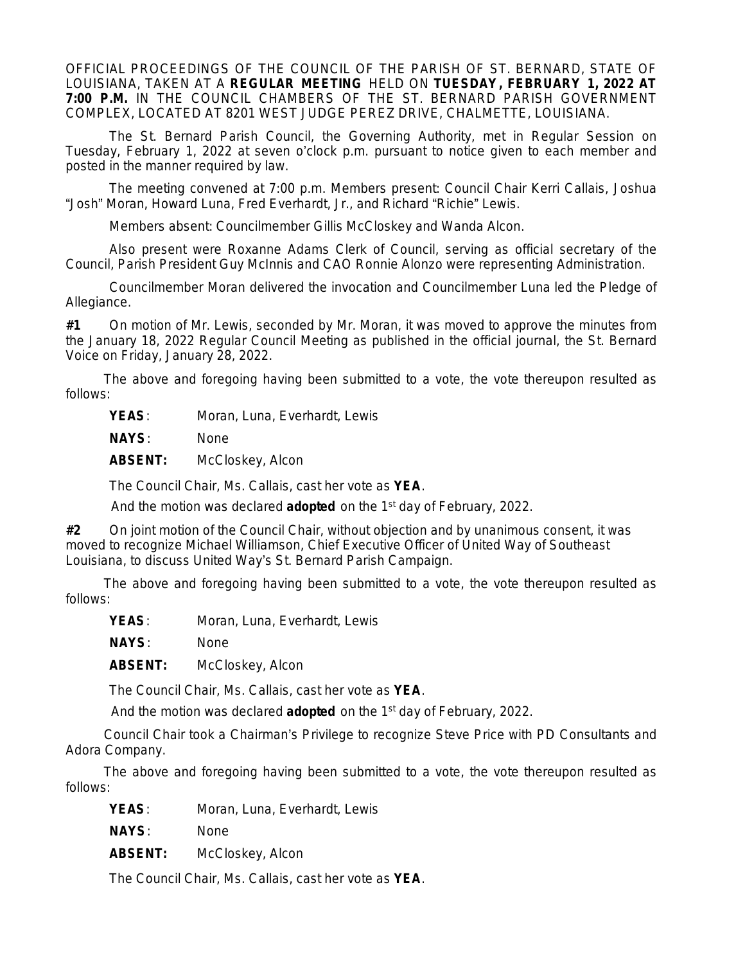OFFICIAL PROCEEDINGS OF THE COUNCIL OF THE PARISH OF ST. BERNARD, STATE OF LOUISIANA, TAKEN AT A **REGULAR MEETING** HELD ON **TUESDAY, FEBRUARY 1, 2022 AT 7:00 P.M.** IN THE COUNCIL CHAMBERS OF THE ST. BERNARD PARISH GOVERNMENT COMPLEX, LOCATED AT 8201 WEST JUDGE PEREZ DRIVE, CHALMETTE, LOUISIANA.

The St. Bernard Parish Council, the Governing Authority, met in Regular Session on Tuesday, February 1, 2022 at seven o'clock p.m. pursuant to notice given to each member and posted in the manner required by law.

The meeting convened at 7:00 p.m. Members present: Council Chair Kerri Callais, Joshua "Josh" Moran, Howard Luna, Fred Everhardt, Jr., and Richard "Richie" Lewis.

Members absent: Councilmember Gillis McCloskey and Wanda Alcon.

Also present were Roxanne Adams Clerk of Council, serving as official secretary of the Council, Parish President Guy McInnis and CAO Ronnie Alonzo were representing Administration.

Councilmember Moran delivered the invocation and Councilmember Luna led the Pledge of Allegiance.

**#1** On motion of Mr. Lewis, seconded by Mr. Moran, it was moved to approve the minutes from the January 18, 2022 Regular Council Meeting as published in the official journal, the St. Bernard Voice on Friday, January 28, 2022.

The above and foregoing having been submitted to a vote, the vote thereupon resulted as follows:

YEAS: Moran, Luna, Everhardt, Lewis

**NAYS**: None

**ABSENT:** McCloskey, Alcon

The Council Chair, Ms. Callais, cast her vote as **YEA**.

And the motion was declared **adopted** on the 1st day of February, 2022.

**#2** On joint motion of the Council Chair, without objection and by unanimous consent, it was moved to recognize Michael Williamson, Chief Executive Officer of United Way of Southeast Louisiana, to discuss United Way's St. Bernard Parish Campaign.

The above and foregoing having been submitted to a vote, the vote thereupon resulted as follows:

YEAS: Moran, Luna, Everhardt, Lewis

**NAYS**: None

**ABSENT:** McCloskey, Alcon

The Council Chair, Ms. Callais, cast her vote as **YEA**.

And the motion was declared **adopted** on the 1st day of February, 2022.

Council Chair took a Chairman's Privilege to recognize Steve Price with PD Consultants and Adora Company.

The above and foregoing having been submitted to a vote, the vote thereupon resulted as follows:

YEAS: Moran, Luna, Everhardt, Lewis

**NAYS**: None

**ABSENT:** McCloskey, Alcon

The Council Chair, Ms. Callais, cast her vote as **YEA**.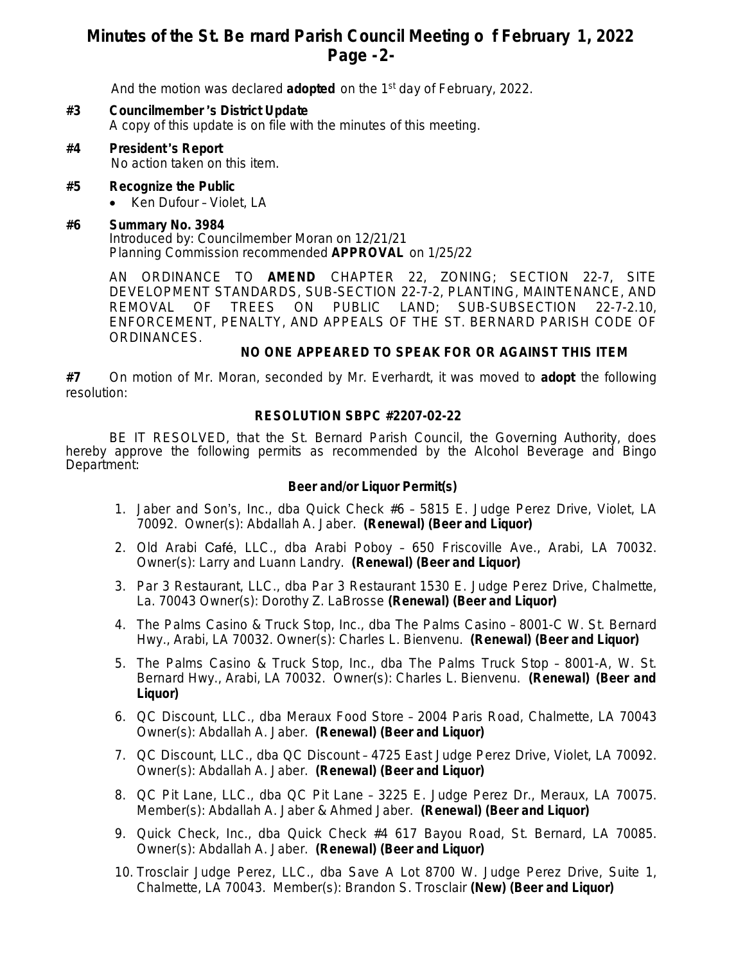## **Minutes of the St. Be rnard Parish Council Meeting o f February 1, 2022 Page -2-**

And the motion was declared **adopted** on the 1st day of February, 2022.

- **#3 Councilmember** '**s District Update** A copy of this update is on file with the minutes of this meeting.
- **#4 President** '**s Report** No action taken on this item.
- **#5 Recognize the Public**
	- Ken Dufour Violet, LA

### **#6 Summary No. 3984**

Introduced by: Councilmember Moran on 12/21/21 Planning Commission recommended **APPROVAL** on 1/25/22

AN ORDINANCE TO **AMEND** CHAPTER 22, ZONING; SECTION 22-7, SITE DEVELOPMENT STANDARDS, SUB-SECTION 22-7-2, PLANTING, MAINTENANCE, AND REMOVAL OF TREES ON PUBLIC LAND; SUB-SUBSECTION 22-7-2.10, ENFORCEMENT, PENALTY, AND APPEALS OF THE ST. BERNARD PARISH CODE OF ORDINANCES.

### **NO ONE APPEARED TO SPEAK FOR OR AGAINST THIS ITEM**

**#7** On motion of Mr. Moran, seconded by Mr. Everhardt, it was moved to **adopt** the following resolution:

### **RESOLUTION SBPC #2207-02-22**

BE IT RESOLVED, that the St. Bernard Parish Council, the Governing Authority, does hereby approve the following permits as recommended by the Alcohol Beverage and Bingo Department:

### **Beer and/or Liquor Permit(s)**

- 1. Jaber and Son's, Inc., dba Quick Check #6 5815 E. Judge Perez Drive, Violet, LA 70092. Owner(s): Abdallah A. Jaber. **(Renewal) (Beer and Liquor)**
- 2. Old Arabi Café, LLC., dba Arabi Poboy 650 Friscoville Ave., Arabi, LA 70032. Owner(s): Larry and Luann Landry. **(Renewal) (Beer and Liquor)**
- 3. Par 3 Restaurant, LLC., dba Par 3 Restaurant 1530 E. Judge Perez Drive, Chalmette, La. 70043 Owner(s): Dorothy Z. LaBrosse **(Renewal) (Beer and Liquor)**
- 4. The Palms Casino & Truck Stop, Inc., dba The Palms Casino 8001-C W. St. Bernard Hwy., Arabi, LA 70032. Owner(s): Charles L. Bienvenu. **(Renewal) (Beer and Liquor)**
- 5. The Palms Casino & Truck Stop, Inc., dba The Palms Truck Stop 8001-A, W. St. Bernard Hwy., Arabi, LA 70032. Owner(s): Charles L. Bienvenu. **(Renewal) (Beer and Liquor)**
- 6. QC Discount, LLC., dba Meraux Food Store 2004 Paris Road, Chalmette, LA 70043 Owner(s): Abdallah A. Jaber. **(Renewal) (Beer and Liquor)**
- 7. QC Discount, LLC., dba QC Discount 4725 East Judge Perez Drive, Violet, LA 70092. Owner(s): Abdallah A. Jaber. **(Renewal) (Beer and Liquor)**
- 8. QC Pit Lane, LLC., dba QC Pit Lane 3225 E. Judge Perez Dr., Meraux, LA 70075. Member(s): Abdallah A. Jaber & Ahmed Jaber. **(Renewal) (Beer and Liquor)**
- 9. Quick Check, Inc., dba Quick Check #4 617 Bayou Road, St. Bernard, LA 70085. Owner(s): Abdallah A. Jaber. **(Renewal) (Beer and Liquor)**
- 10. Trosclair Judge Perez, LLC., dba Save A Lot 8700 W. Judge Perez Drive, Suite 1, Chalmette, LA 70043. Member(s): Brandon S. Trosclair **(New) (Beer and Liquor)**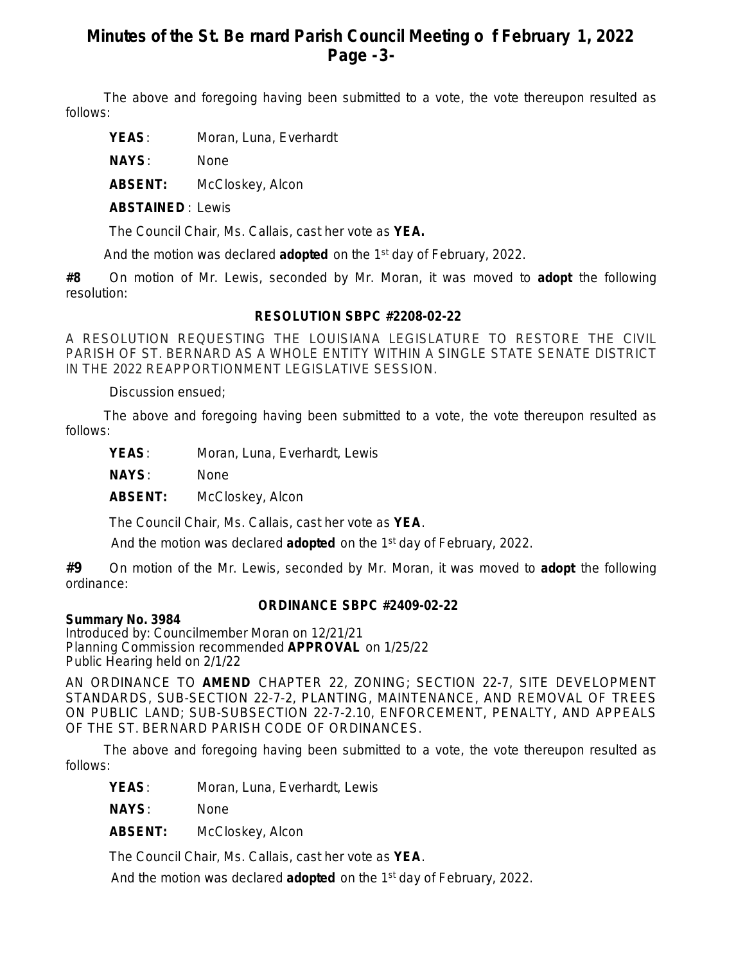## **Minutes of the St. Be rnard Parish Council Meeting o f February 1, 2022 Page -3-**

The above and foregoing having been submitted to a vote, the vote thereupon resulted as follows:

**YEAS**: Moran, Luna, Everhardt

**NAYS**: None

**ABSENT:** McCloskey, Alcon

**ABSTAINED** : Lewis

The Council Chair, Ms. Callais, cast her vote as **YEA.**

And the motion was declared **adopted** on the 1st day of February, 2022.

**#8** On motion of Mr. Lewis, seconded by Mr. Moran, it was moved to **adopt** the following resolution:

### **RESOLUTION SBPC #2208-02-22**

A RESOLUTION REQUESTING THE LOUISIANA LEGISLATURE TO RESTORE THE CIVIL PARISH OF ST. BERNARD AS A WHOLE ENTITY WITHIN A SINGLE STATE SENATE DISTRICT IN THE 2022 REAPPORTIONMENT LEGISLATIVE SESSION.

Discussion ensued;

The above and foregoing having been submitted to a vote, the vote thereupon resulted as follows:

YEAS: Moran, Luna, Everhardt, Lewis

**NAYS**: None

**ABSENT:** McCloskey, Alcon

The Council Chair, Ms. Callais, cast her vote as **YEA**.

And the motion was declared **adopted** on the 1st day of February, 2022.

**#9** On motion of the Mr. Lewis, seconded by Mr. Moran, it was moved to **adopt** the following ordinance:

### **ORDINANCE SBPC #2409-02-22**

**Summary No. 3984**

Introduced by: Councilmember Moran on 12/21/21 Planning Commission recommended **APPROVAL** on 1/25/22 Public Hearing held on 2/1/22

AN ORDINANCE TO **AMEND** CHAPTER 22, ZONING; SECTION 22-7, SITE DEVELOPMENT STANDARDS, SUB-SECTION 22-7-2, PLANTING, MAINTENANCE, AND REMOVAL OF TREES ON PUBLIC LAND; SUB-SUBSECTION 22-7-2.10, ENFORCEMENT, PENALTY, AND APPEALS OF THE ST. BERNARD PARISH CODE OF ORDINANCES.

The above and foregoing having been submitted to a vote, the vote thereupon resulted as follows:

**YEAS**: Moran, Luna, Everhardt, Lewis

**NAYS**: None

**ABSENT:** McCloskey, Alcon

The Council Chair, Ms. Callais, cast her vote as **YEA**.

And the motion was declared **adopted** on the 1st day of February, 2022.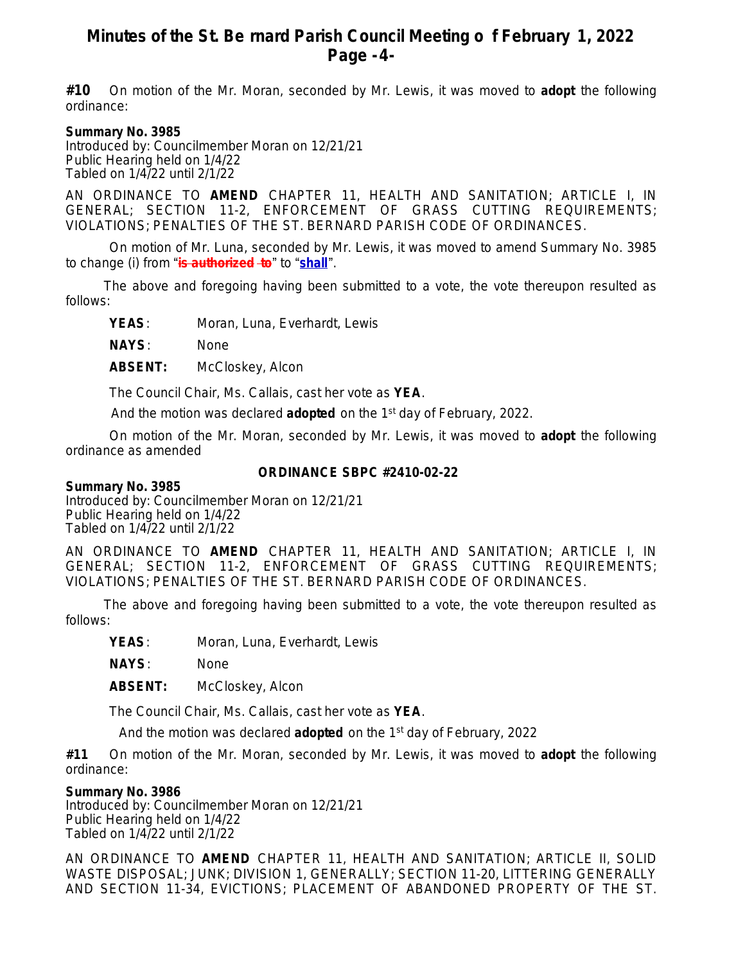## **Minutes of the St. Be rnard Parish Council Meeting o f February 1, 2022 Page -4-**

**#10** On motion of the Mr. Moran, seconded by Mr. Lewis, it was moved to **adopt** the following ordinance:

#### **Summary No. 3985**

Introduced by: Councilmember Moran on 12/21/21 Public Hearing held on 1/4/22 Tabled on 1/4/22 until 2/1/22

AN ORDINANCE TO **AMEND** CHAPTER 11, HEALTH AND SANITATION; ARTICLE I, IN GENERAL; SECTION 11-2, ENFORCEMENT OF GRASS CUTTING REQUIREMENTS; VIOLATIONS; PENALTIES OF THE ST. BERNARD PARISH CODE OF ORDINANCES.

On motion of Mr. Luna, seconded by Mr. Lewis, it was moved to amend Summary No. 3985 to change (i) from "**is authorized to**" to "**shall**".

The above and foregoing having been submitted to a vote, the vote thereupon resulted as follows:

YEAS: Moran, Luna, Everhardt, Lewis

**NAYS**: None

**ABSENT:** McCloskey, Alcon

The Council Chair, Ms. Callais, cast her vote as **YEA**.

And the motion was declared **adopted** on the 1st day of February, 2022.

On motion of the Mr. Moran, seconded by Mr. Lewis, it was moved to **adopt** the following ordinance as amended

#### **ORDINANCE SBPC #2410-02-22**

#### **Summary No. 3985**

Introduced by: Councilmember Moran on 12/21/21 Public Hearing held on 1/4/22 Tabled on 1/4/22 until 2/1/22

AN ORDINANCE TO **AMEND** CHAPTER 11, HEALTH AND SANITATION; ARTICLE I, IN GENERAL; SECTION 11-2, ENFORCEMENT OF GRASS CUTTING REQUIREMENTS; VIOLATIONS; PENALTIES OF THE ST. BERNARD PARISH CODE OF ORDINANCES.

The above and foregoing having been submitted to a vote, the vote thereupon resulted as follows:

**YEAS**: Moran, Luna, Everhardt, Lewis

**NAYS**: None

**ABSENT:** McCloskey, Alcon

The Council Chair, Ms. Callais, cast her vote as **YEA**.

And the motion was declared **adopted** on the 1st day of February, 2022

**#11** On motion of the Mr. Moran, seconded by Mr. Lewis, it was moved to **adopt** the following ordinance:

#### **Summary No. 3986**

Introduced by: Councilmember Moran on 12/21/21 Public Hearing held on 1/4/22 Tabled on 1/4/22 until 2/1/22

AN ORDINANCE TO **AMEND** CHAPTER 11, HEALTH AND SANITATION; ARTICLE II, SOLID WASTE DISPOSAL; JUNK; DIVISION 1, GENERALLY; SECTION 11-20, LITTERING GENERALLY AND SECTION 11-34, EVICTIONS; PLACEMENT OF ABANDONED PROPERTY OF THE ST.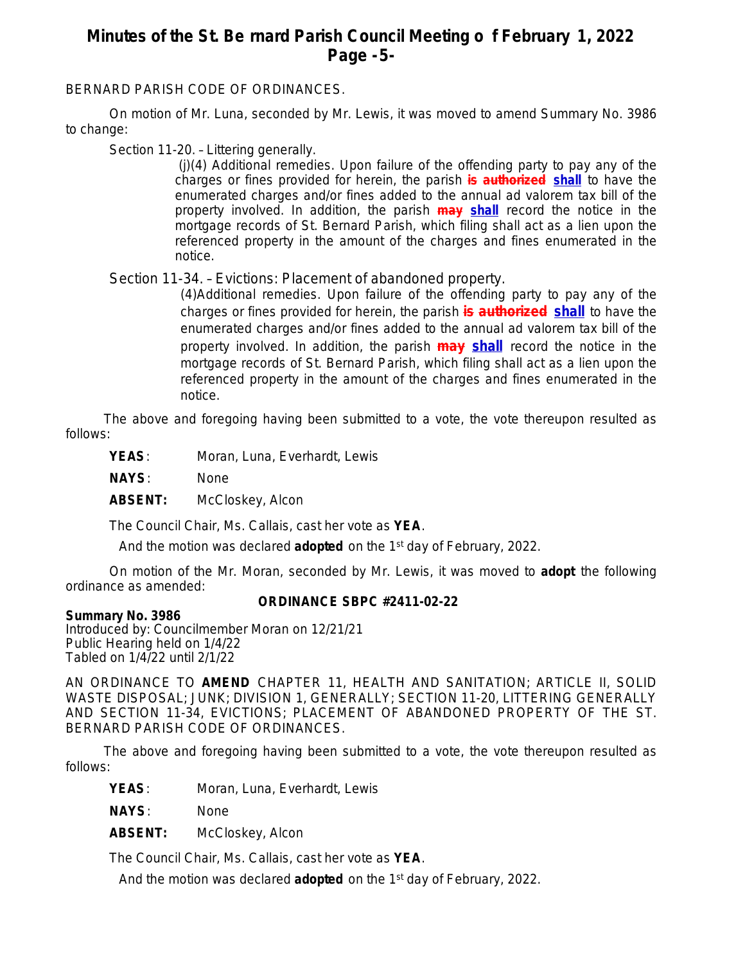## **Minutes of the St. Be rnard Parish Council Meeting o f February 1, 2022 Page -5-**

BERNARD PARISH CODE OF ORDINANCES.

On motion of Mr. Luna, seconded by Mr. Lewis, it was moved to amend Summary No. 3986 to change:

Section 11-20. – Littering generally.

(j)(4) *Additional remedies.* Upon failure of the offending party to pay any of the charges or fines provided for herein, the parish **is authorized shall** to have the enumerated charges and/or fines added to the annual ad valorem tax bill of the property involved. In addition, the parish **may shall** record the notice in the mortgage records of St. Bernard Parish, which filing shall act as a lien upon the referenced property in the amount of the charges and fines enumerated in the notice.

Section 11-34. – Evictions: Placement of abandoned property.

*(4)Additional remedies.* Upon failure of the offending party to pay any of the charges or fines provided for herein, the parish **is authorized shall** to have the enumerated charges and/or fines added to the annual ad valorem tax bill of the property involved. In addition, the parish **may shall** record the notice in the mortgage records of St. Bernard Parish, which filing shall act as a lien upon the referenced property in the amount of the charges and fines enumerated in the notice.

The above and foregoing having been submitted to a vote, the vote thereupon resulted as follows:

**YEAS**: Moran, Luna, Everhardt, Lewis

**NAYS**: None

**ABSENT:** McCloskey, Alcon

The Council Chair, Ms. Callais, cast her vote as **YEA**.

And the motion was declared **adopted** on the 1st day of February, 2022.

On motion of the Mr. Moran, seconded by Mr. Lewis, it was moved to **adopt** the following ordinance as amended:

### **ORDINANCE SBPC #2411-02-22**

### **Summary No. 3986**

Introduced by: Councilmember Moran on 12/21/21 Public Hearing held on 1/4/22 Tabled on 1/4/22 until 2/1/22

AN ORDINANCE TO **AMEND** CHAPTER 11, HEALTH AND SANITATION; ARTICLE II, SOLID WASTE DISPOSAL; JUNK; DIVISION 1, GENERALLY; SECTION 11-20, LITTERING GENERALLY AND SECTION 11-34, EVICTIONS; PLACEMENT OF ABANDONED PROPERTY OF THE ST. BERNARD PARISH CODE OF ORDINANCES.

The above and foregoing having been submitted to a vote, the vote thereupon resulted as follows:

YEAS: Moran, Luna, Everhardt, Lewis

**NAYS**: None

**ABSENT:** McCloskey, Alcon

The Council Chair, Ms. Callais, cast her vote as **YEA**.

And the motion was declared **adopted** on the 1st day of February, 2022.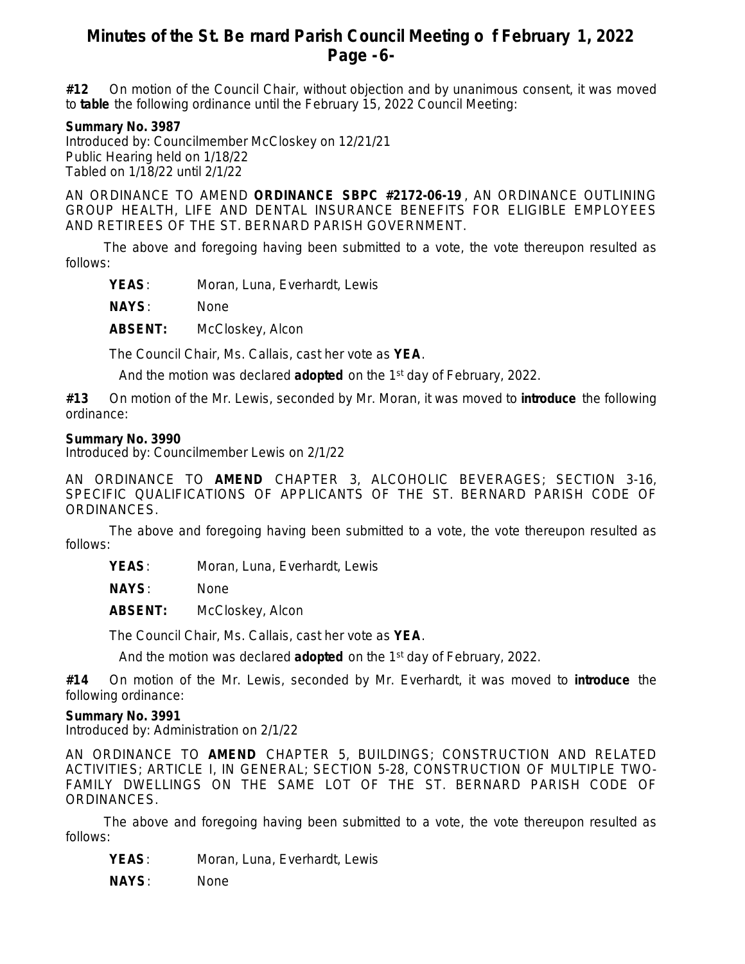## **Minutes of the St. Be rnard Parish Council Meeting o f February 1, 2022 Page -6-**

**#12** On motion of the Council Chair, without objection and by unanimous consent, it was moved to **table** the following ordinance until the February 15, 2022 Council Meeting:

#### **Summary No. 3987**

Introduced by: Councilmember McCloskey on 12/21/21 Public Hearing held on 1/18/22 Tabled on 1/18/22 until 2/1/22

AN ORDINANCE TO AMEND **ORDINANCE SBPC #2172-06-19** , AN ORDINANCE OUTLINING GROUP HEALTH, LIFE AND DENTAL INSURANCE BENEFITS FOR ELIGIBLE EMPLOYEES AND RETIREES OF THE ST. BERNARD PARISH GOVERNMENT.

The above and foregoing having been submitted to a vote, the vote thereupon resulted as follows:

YEAS: Moran, Luna, Everhardt, Lewis

**NAYS**: None

**ABSENT:** McCloskey, Alcon

The Council Chair, Ms. Callais, cast her vote as **YEA**.

And the motion was declared **adopted** on the 1st day of February, 2022.

**#13** On motion of the Mr. Lewis, seconded by Mr. Moran, it was moved to **introduce** the following ordinance:

#### **Summary No. 3990**

Introduced by: Councilmember Lewis on 2/1/22

AN ORDINANCE TO **AMEND** CHAPTER 3, ALCOHOLIC BEVERAGES; SECTION 3-16, SPECIFIC QUALIFICATIONS OF APPLICANTS OF THE ST. BERNARD PARISH CODE OF ORDINANCES.

The above and foregoing having been submitted to a vote, the vote thereupon resulted as follows:

**YEAS**: Moran, Luna, Everhardt, Lewis

**NAYS**: None

**ABSENT:** McCloskey, Alcon

The Council Chair, Ms. Callais, cast her vote as **YEA**.

And the motion was declared **adopted** on the 1st day of February, 2022.

**#14** On motion of the Mr. Lewis, seconded by Mr. Everhardt, it was moved to **introduce** the following ordinance:

#### **Summary No. 3991**

Introduced by: Administration on 2/1/22

AN ORDINANCE TO **AMEND** CHAPTER 5, BUILDINGS; CONSTRUCTION AND RELATED ACTIVITIES; ARTICLE I, IN GENERAL; SECTION 5-28, CONSTRUCTION OF MULTIPLE TWO-FAMILY DWELLINGS ON THE SAME LOT OF THE ST. BERNARD PARISH CODE OF ORDINANCES.

The above and foregoing having been submitted to a vote, the vote thereupon resulted as follows:

YEAS: Moran, Luna, Everhardt, Lewis

**NAYS**: None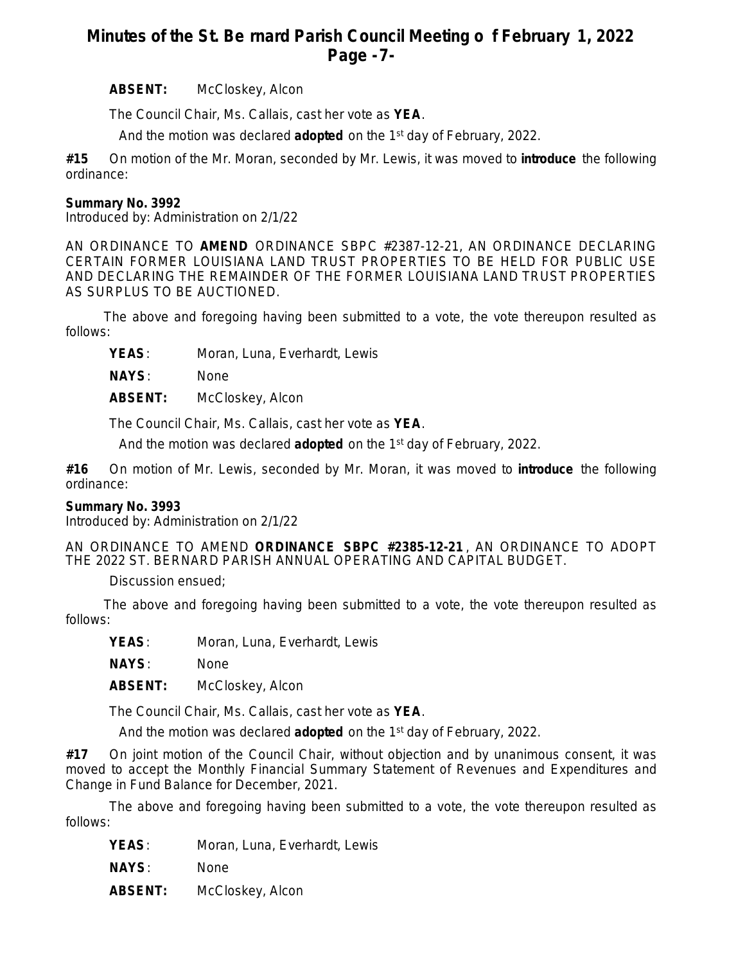## **Minutes of the St. Be rnard Parish Council Meeting o f February 1, 2022 Page -7-**

**ABSENT:** McCloskey, Alcon

The Council Chair, Ms. Callais, cast her vote as **YEA**.

And the motion was declared **adopted** on the 1st day of February, 2022.

**#15** On motion of the Mr. Moran, seconded by Mr. Lewis, it was moved to **introduce** the following ordinance:

### **Summary No. 3992**

Introduced by: Administration on 2/1/22

AN ORDINANCE TO **AMEND** ORDINANCE SBPC #2387-12-21, AN ORDINANCE DECLARING CERTAIN FORMER LOUISIANA LAND TRUST PROPERTIES TO BE HELD FOR PUBLIC USE AND DECLARING THE REMAINDER OF THE FORMER LOUISIANA LAND TRUST PROPERTIES AS SURPLUS TO BE AUCTIONED.

The above and foregoing having been submitted to a vote, the vote thereupon resulted as follows:

YEAS: Moran, Luna, Everhardt, Lewis

**NAYS**: None

**ABSENT:** McCloskey, Alcon

The Council Chair, Ms. Callais, cast her vote as **YEA**.

And the motion was declared **adopted** on the 1st day of February, 2022.

**#16** On motion of Mr. Lewis, seconded by Mr. Moran, it was moved to **introduce** the following ordinance:

#### **Summary No. 3993**

Introduced by: Administration on 2/1/22

AN ORDINANCE TO AMEND **ORDINANCE SBPC #2385-12-21** , AN ORDINANCE TO ADOPT THE 2022 ST. BERNARD PARISH ANNUAL OPERATING AND CAPITAL BUDGET.

Discussion ensued;

The above and foregoing having been submitted to a vote, the vote thereupon resulted as follows:

YEAS: Moran, Luna, Everhardt, Lewis

**NAYS**: None

**ABSENT:** McCloskey, Alcon

The Council Chair, Ms. Callais, cast her vote as **YEA**.

And the motion was declared **adopted** on the 1st day of February, 2022.

**#17** On joint motion of the Council Chair, without objection and by unanimous consent, it was moved to accept the Monthly Financial Summary Statement of Revenues and Expenditures and Change in Fund Balance for December, 2021.

The above and foregoing having been submitted to a vote, the vote thereupon resulted as follows:

- **YEAS**: Moran, Luna, Everhardt, Lewis
- **NAYS**: None
- **ABSENT:** McCloskey, Alcon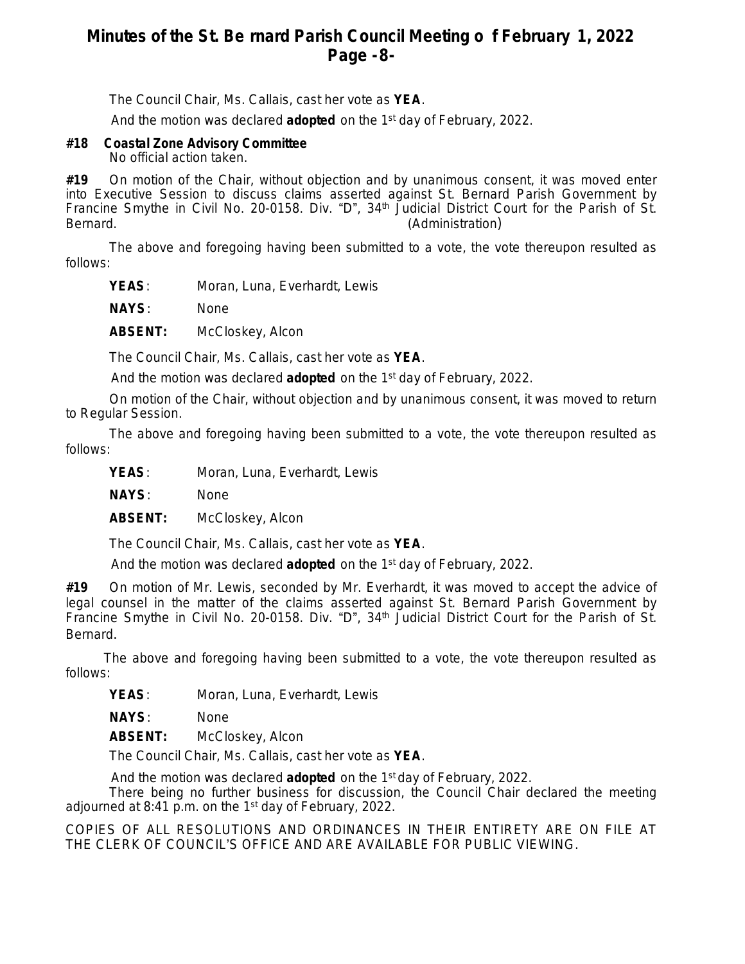## **Minutes of the St. Be rnard Parish Council Meeting o f February 1, 2022 Page -8-**

The Council Chair, Ms. Callais, cast her vote as **YEA**.

And the motion was declared **adopted** on the 1st day of February, 2022.

### **#18 Coastal Zone Advisory Committee**

No official action taken.

**#19** On motion of the Chair, without objection and by unanimous consent, it was moved enter into Executive Session to discuss claims asserted against St. Bernard Parish Government by Francine Smythe in Civil No. 20-0158. Div. "D", 34<sup>th</sup> Judicial District Court for the Parish of St. Bernard. (Administration) and the set of the set of the set of the set of the set of the set of the set of the set of the set of the set of the set of the set of the set of the set of the set of the set of the set of the s

The above and foregoing having been submitted to a vote, the vote thereupon resulted as follows:

YEAS: Moran, Luna, Everhardt, Lewis

**NAYS**: None

**ABSENT:** McCloskey, Alcon

The Council Chair, Ms. Callais, cast her vote as **YEA**.

And the motion was declared **adopted** on the 1st day of February, 2022.

On motion of the Chair, without objection and by unanimous consent, it was moved to return to Regular Session.

The above and foregoing having been submitted to a vote, the vote thereupon resulted as follows:

YEAS: Moran, Luna, Everhardt, Lewis

**NAYS**: None

**ABSENT:** McCloskey, Alcon

The Council Chair, Ms. Callais, cast her vote as **YEA**.

And the motion was declared **adopted** on the 1st day of February, 2022.

**#19** On motion of Mr. Lewis, seconded by Mr. Everhardt, it was moved to accept the advice of legal counsel in the matter of the claims asserted against St. Bernard Parish Government by Francine Smythe in Civil No. 20-0158. Div. "D", 34<sup>th</sup> Judicial District Court for the Parish of St. Bernard.

The above and foregoing having been submitted to a vote, the vote thereupon resulted as follows:

YEAS: Moran, Luna, Everhardt, Lewis

**NAYS**: None

**ABSENT:** McCloskey, Alcon

The Council Chair, Ms. Callais, cast her vote as **YEA**.

And the motion was declared **adopted** on the 1st day of February, 2022.

There being no further business for discussion, the Council Chair declared the meeting adjourned at 8:41 p.m. on the 1<sup>st</sup> day of February, 2022.

COPIES OF ALL RESOLUTIONS AND ORDINANCES IN THEIR ENTIRETY ARE ON FILE AT THE CLERK OF COUNCIL'S OFFICE AND ARE AVAILABLE FOR PUBLIC VIEWING.